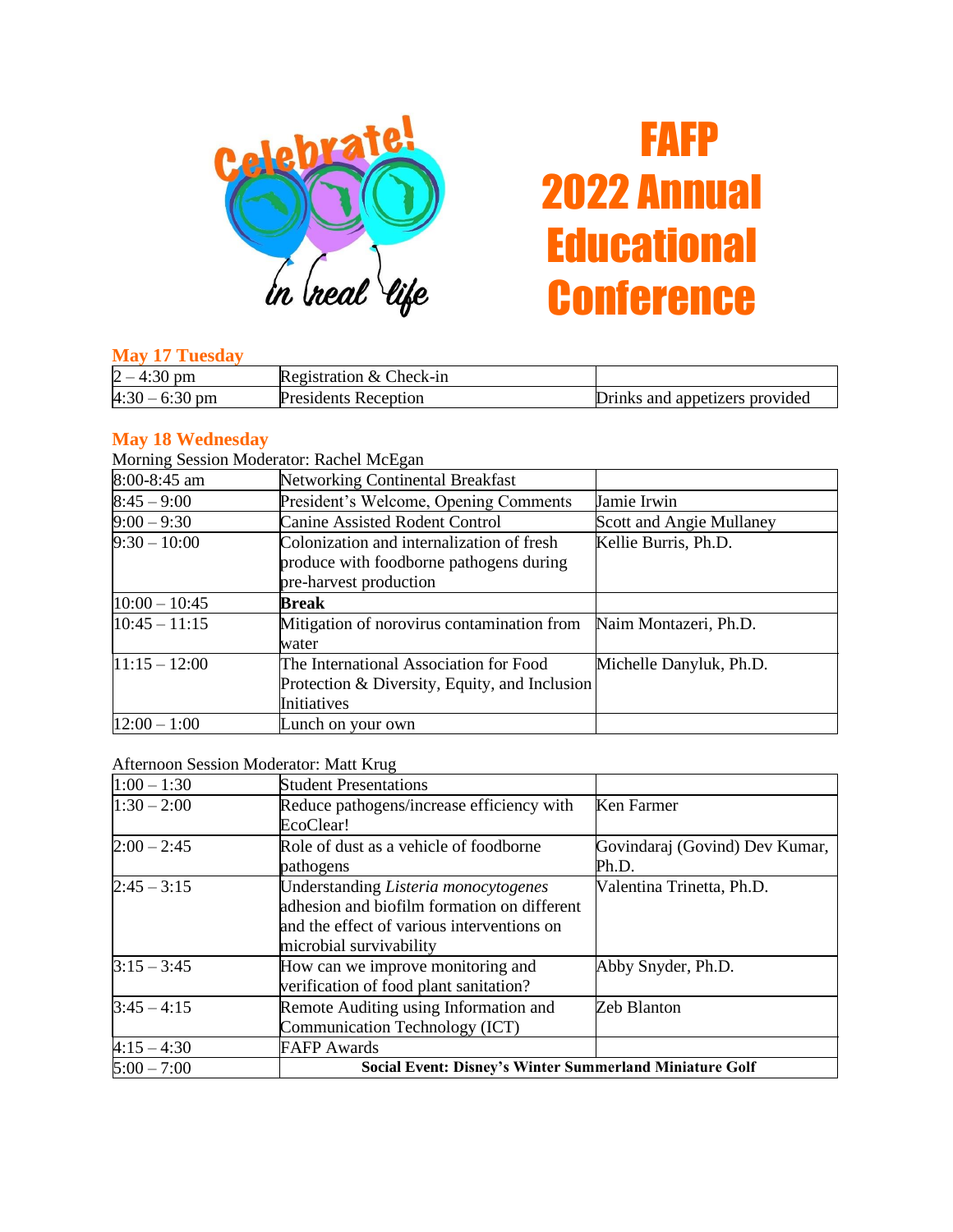

# FAFP 2022 Annual **Educational Conference**

#### **May 17 Tuesday**

| $2 -$<br>pm      | Registration & Check-in |                                |
|------------------|-------------------------|--------------------------------|
| $4:30 - 6:30$ pm | Presidents Reception    | Drinks and appetizers provided |

### **May 18 Wednesday**

Morning Session Moderator: Rachel McEgan

| 8:00-8:45 am    | <b>Networking Continental Breakfast</b>                                              |                          |
|-----------------|--------------------------------------------------------------------------------------|--------------------------|
| $8:45 - 9:00$   | President's Welcome, Opening Comments                                                | Jamie Irwin              |
| $9:00 - 9:30$   | <b>Canine Assisted Rodent Control</b>                                                | Scott and Angie Mullaney |
| $9:30 - 10:00$  | Colonization and internalization of fresh<br>produce with foodborne pathogens during | Kellie Burris, Ph.D.     |
|                 | pre-harvest production                                                               |                          |
| $10:00 - 10:45$ | Break                                                                                |                          |
| $10:45 - 11:15$ | Mitigation of norovirus contamination from                                           | Naim Montazeri, Ph.D.    |
|                 | water                                                                                |                          |
| $11:15 - 12:00$ | The International Association for Food                                               | Michelle Danyluk, Ph.D.  |
|                 | Protection & Diversity, Equity, and Inclusion                                        |                          |
|                 | Initiatives                                                                          |                          |
| $12:00 - 1:00$  | Lunch on your own                                                                    |                          |

#### Afternoon Session Moderator: Matt Krug

| $1:00 - 1:30$ | <b>Student Presentations</b>                                   |                                |
|---------------|----------------------------------------------------------------|--------------------------------|
| $1:30 - 2:00$ | Reduce pathogens/increase efficiency with                      | Ken Farmer                     |
|               | EcoClear!                                                      |                                |
| $2:00 - 2:45$ | Role of dust as a vehicle of foodborne                         | Govindaraj (Govind) Dev Kumar, |
|               | pathogens                                                      | Ph.D.                          |
| $2:45 - 3:15$ | Understanding Listeria monocytogenes                           | Valentina Trinetta, Ph.D.      |
|               | adhesion and biofilm formation on different                    |                                |
|               | and the effect of various interventions on                     |                                |
|               | microbial survivability                                        |                                |
| $3:15 - 3:45$ | How can we improve monitoring and                              | Abby Snyder, Ph.D.             |
|               | verification of food plant sanitation?                         |                                |
| $3:45 - 4:15$ | Remote Auditing using Information and                          | Zeb Blanton                    |
|               | Communication Technology (ICT)                                 |                                |
| $4:15 - 4:30$ | <b>FAFP</b> Awards                                             |                                |
| $5:00 - 7:00$ | <b>Social Event: Disney's Winter Summerland Miniature Golf</b> |                                |